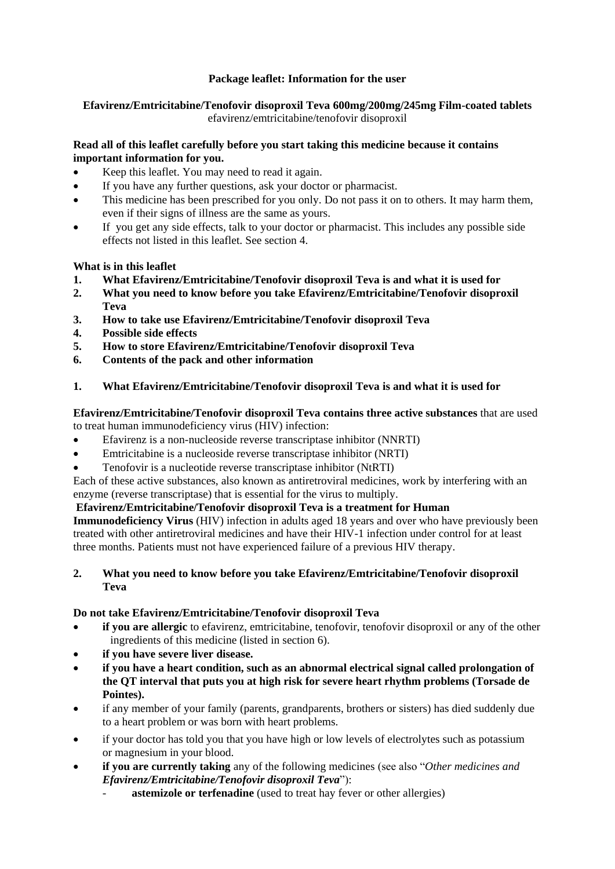# **Package leaflet: Information for the user**

# **Efavirenz/Emtricitabine/Tenofovir disoproxil Teva 600mg/200mg/245mg Film-coated tablets** efavirenz/emtricitabine/tenofovir disoproxil

# **Read all of this leaflet carefully before you start taking this medicine because it contains important information for you.**

- Keep this leaflet. You may need to read it again.
- If you have any further questions, ask your doctor or pharmacist.
- This medicine has been prescribed for you only. Do not pass it on to others. It may harm them, even if their signs of illness are the same as yours.
- If you get any side effects, talk to your doctor or pharmacist. This includes any possible side effects not listed in this leaflet. See section 4.

# **What is in this leaflet**

- **1. What Efavirenz/Emtricitabine/Tenofovir disoproxil Teva is and what it is used for**
- **2. What you need to know before you take Efavirenz/Emtricitabine/Tenofovir disoproxil Teva**
- **3. How to take use Efavirenz/Emtricitabine/Tenofovir disoproxil Teva**
- **4. Possible side effects**
- **5. How to store Efavirenz/Emtricitabine/Tenofovir disoproxil Teva**
- **6. Contents of the pack and other information**
- **1. What Efavirenz/Emtricitabine/Tenofovir disoproxil Teva is and what it is used for**

# **Efavirenz/Emtricitabine/Tenofovir disoproxil Teva contains three active substances** that are used

to treat human immunodeficiency virus (HIV) infection:

- Efavirenz is a non-nucleoside reverse transcriptase inhibitor (NNRTI)
- Emtricitabine is a nucleoside reverse transcriptase inhibitor (NRTI)
- Tenofovir is a nucleotide reverse transcriptase inhibitor (NtRTI)

Each of these active substances, also known as antiretroviral medicines, work by interfering with an enzyme (reverse transcriptase) that is essential for the virus to multiply.

# **Efavirenz/Emtricitabine/Tenofovir disoproxil Teva is a treatment for Human**

**Immunodeficiency Virus** (HIV) infection in adults aged 18 years and over who have previously been treated with other antiretroviral medicines and have their HIV-1 infection under control for at least three months. Patients must not have experienced failure of a previous HIV therapy.

# **2. What you need to know before you take Efavirenz/Emtricitabine/Tenofovir disoproxil Teva**

# **Do not take Efavirenz/Emtricitabine/Tenofovir disoproxil Teva**

- **if you are allergic** to efavirenz, emtricitabine, tenofovir, tenofovir disoproxil or any of the other ingredients of this medicine (listed in section 6).
- **if you have severe liver disease.**
- **if you have a heart condition, such as an abnormal electrical signal called prolongation of the QT interval that puts you at high risk for severe heart rhythm problems (Torsade de Pointes).**
- if any member of your family (parents, grandparents, brothers or sisters) has died suddenly due to a heart problem or was born with heart problems.
- if your doctor has told you that you have high or low levels of electrolytes such as potassium or magnesium in your blood.
- **if you are currently taking** any of the following medicines (see also "*Other medicines and Efavirenz/Emtricitabine/Tenofovir disoproxil Teva*"):
	- astemizole or terfenadine (used to treat hay fever or other allergies)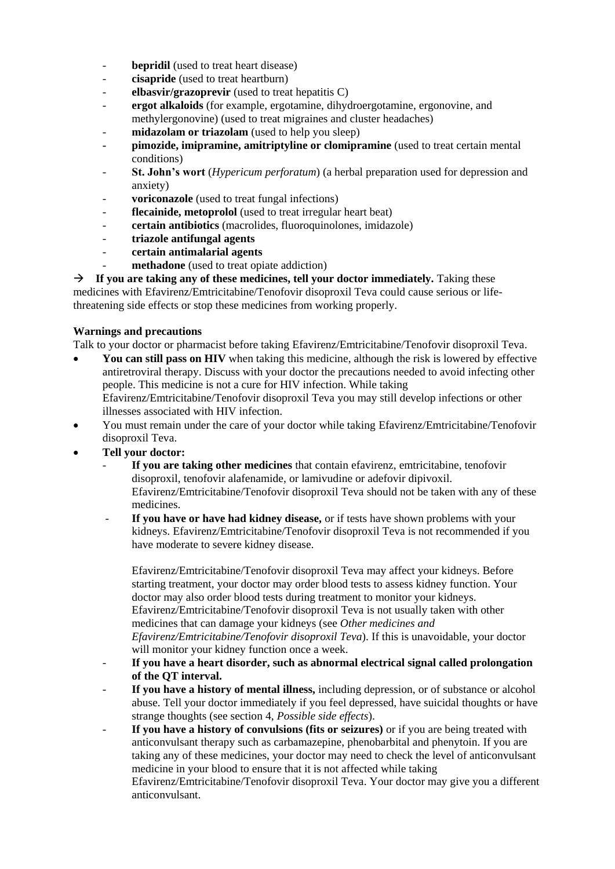- **bepridil** (used to treat heart disease)
- **cisapride** (used to treat heartburn)
- **elbasvir/grazoprevir** (used to treat hepatitis C)
- **ergot alkaloids** (for example, ergotamine, dihydroergotamine, ergonovine, and methylergonovine) (used to treat migraines and cluster headaches)
- midazolam or triazolam (used to help you sleep)
- **- pimozide, imipramine, amitriptyline or clomipramine** (used to treat certain mental conditions)
- **St. John's wort** (*Hypericum perforatum*) (a herbal preparation used for depression and anxiety)
- **voriconazole** (used to treat fungal infections)
- flecainide, metoprolol (used to treat irregular heart beat)
- **certain antibiotics** (macrolides, fluoroquinolones, imidazole)
- **triazole antifungal agents**
- **certain antimalarial agents**
- methadone (used to treat opiate addiction)

 $\rightarrow$  If you are taking any of these medicines, tell your doctor immediately. Taking these medicines with Efavirenz/Emtricitabine/Tenofovir disoproxil Teva could cause serious or lifethreatening side effects or stop these medicines from working properly.

### **Warnings and precautions**

Talk to your doctor or pharmacist before taking Efavirenz/Emtricitabine/Tenofovir disoproxil Teva.

- **You can still pass on HIV** when taking this medicine, although the risk is lowered by effective antiretroviral therapy. Discuss with your doctor the precautions needed to avoid infecting other people. This medicine is not a cure for HIV infection. While taking Efavirenz/Emtricitabine/Tenofovir disoproxil Teva you may still develop infections or other illnesses associated with HIV infection.
- You must remain under the care of your doctor while taking Efavirenz/Emtricitabine/Tenofovir disoproxil Teva.
- **Tell your doctor:** 
	- **If you are taking other medicines** that contain efavirenz, emtricitabine, tenofovir disoproxil, tenofovir alafenamide, or lamivudine or adefovir dipivoxil. Efavirenz/Emtricitabine/Tenofovir disoproxil Teva should not be taken with any of these medicines.
	- If you have or have had kidney disease, or if tests have shown problems with your kidneys. Efavirenz/Emtricitabine/Tenofovir disoproxil Teva is not recommended if you have moderate to severe kidney disease.

Efavirenz/Emtricitabine/Tenofovir disoproxil Teva may affect your kidneys. Before starting treatment, your doctor may order blood tests to assess kidney function. Your doctor may also order blood tests during treatment to monitor your kidneys. Efavirenz/Emtricitabine/Tenofovir disoproxil Teva is not usually taken with other medicines that can damage your kidneys (see *Other medicines and Efavirenz/Emtricitabine/Tenofovir disoproxil Teva*). If this is unavoidable, your doctor will monitor your kidney function once a week.

- **If you have a heart disorder, such as abnormal electrical signal called prolongation of the QT interval.**
- If you have a history of mental illness, including depression, or of substance or alcohol abuse. Tell your doctor immediately if you feel depressed, have suicidal thoughts or have strange thoughts (see section 4, *Possible side effects*).
- **If you have a history of convulsions (fits or seizures)** or if you are being treated with anticonvulsant therapy such as carbamazepine, phenobarbital and phenytoin. If you are taking any of these medicines, your doctor may need to check the level of anticonvulsant medicine in your blood to ensure that it is not affected while taking

Efavirenz/Emtricitabine/Tenofovir disoproxil Teva. Your doctor may give you a different anticonvulsant.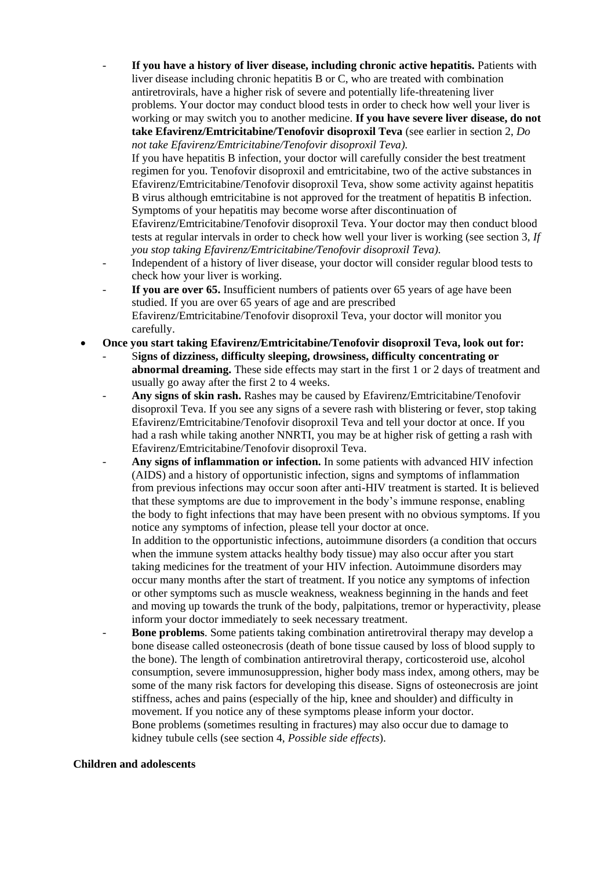If you have a history of liver disease, including chronic active hepatitis. Patients with liver disease including chronic hepatitis B or C, who are treated with combination antiretrovirals, have a higher risk of severe and potentially life-threatening liver problems. Your doctor may conduct blood tests in order to check how well your liver is working or may switch you to another medicine. **If you have severe liver disease, do not take Efavirenz/Emtricitabine/Tenofovir disoproxil Teva** (see earlier in section 2, *Do not take Efavirenz/Emtricitabine/Tenofovir disoproxil Teva).* 

If you have hepatitis B infection, your doctor will carefully consider the best treatment regimen for you. Tenofovir disoproxil and emtricitabine, two of the active substances in Efavirenz/Emtricitabine/Tenofovir disoproxil Teva, show some activity against hepatitis B virus although emtricitabine is not approved for the treatment of hepatitis B infection. Symptoms of your hepatitis may become worse after discontinuation of

Efavirenz/Emtricitabine/Tenofovir disoproxil Teva. Your doctor may then conduct blood tests at regular intervals in order to check how well your liver is working (see section 3, *If you stop taking Efavirenz/Emtricitabine/Tenofovir disoproxil Teva).* 

- Independent of a history of liver disease, your doctor will consider regular blood tests to check how your liver is working.
- **If you are over 65.** Insufficient numbers of patients over 65 years of age have been studied. If you are over 65 years of age and are prescribed Efavirenz/Emtricitabine/Tenofovir disoproxil Teva, your doctor will monitor you carefully.
- **Once you start taking Efavirenz/Emtricitabine/Tenofovir disoproxil Teva, look out for:** 
	- S**igns of dizziness, difficulty sleeping, drowsiness, difficulty concentrating or abnormal dreaming.** These side effects may start in the first 1 or 2 days of treatment and usually go away after the first 2 to 4 weeks.
	- **Any signs of skin rash.** Rashes may be caused by Efavirenz/Emtricitabine/Tenofovir disoproxil Teva. If you see any signs of a severe rash with blistering or fever, stop taking Efavirenz/Emtricitabine/Tenofovir disoproxil Teva and tell your doctor at once. If you had a rash while taking another NNRTI, you may be at higher risk of getting a rash with Efavirenz/Emtricitabine/Tenofovir disoproxil Teva.
	- Any signs of inflammation or infection. In some patients with advanced HIV infection (AIDS) and a history of opportunistic infection, signs and symptoms of inflammation from previous infections may occur soon after anti-HIV treatment is started. It is believed that these symptoms are due to improvement in the body's immune response, enabling the body to fight infections that may have been present with no obvious symptoms. If you notice any symptoms of infection, please tell your doctor at once.

In addition to the opportunistic infections, autoimmune disorders (a condition that occurs when the immune system attacks healthy body tissue) may also occur after you start taking medicines for the treatment of your HIV infection. Autoimmune disorders may occur many months after the start of treatment. If you notice any symptoms of infection or other symptoms such as muscle weakness, weakness beginning in the hands and feet and moving up towards the trunk of the body, palpitations, tremor or hyperactivity, please inform your doctor immediately to seek necessary treatment.

**Bone problems**. Some patients taking combination antiretroviral therapy may develop a bone disease called osteonecrosis (death of bone tissue caused by loss of blood supply to the bone). The length of combination antiretroviral therapy, corticosteroid use, alcohol consumption, severe immunosuppression, higher body mass index, among others, may be some of the many risk factors for developing this disease. Signs of osteonecrosis are joint stiffness, aches and pains (especially of the hip, knee and shoulder) and difficulty in movement. If you notice any of these symptoms please inform your doctor. Bone problems (sometimes resulting in fractures) may also occur due to damage to kidney tubule cells (see section 4, *Possible side effects*).

#### **Children and adolescents**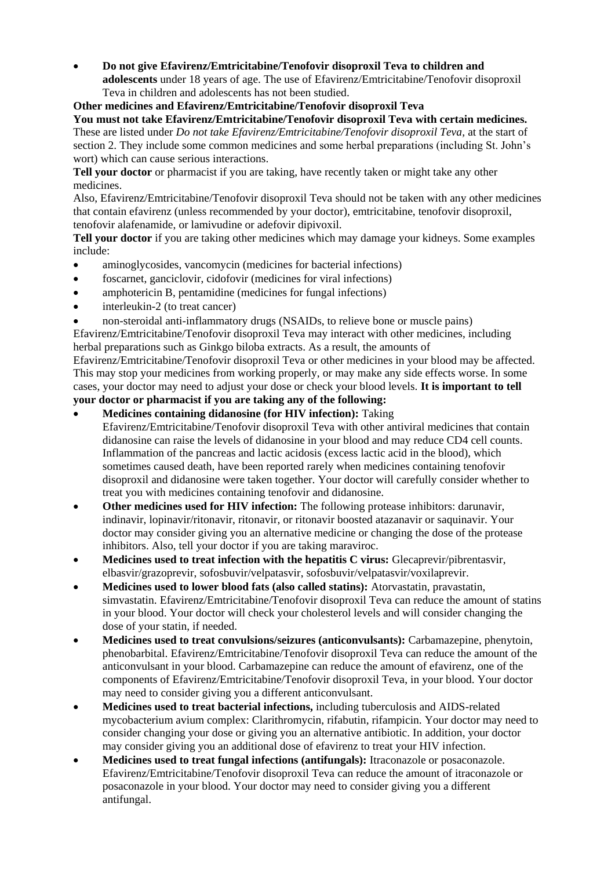**Do not give Efavirenz/Emtricitabine/Tenofovir disoproxil Teva to children and adolescents** under 18 years of age. The use of Efavirenz/Emtricitabine/Tenofovir disoproxil Teva in children and adolescents has not been studied.

**Other medicines and Efavirenz/Emtricitabine/Tenofovir disoproxil Teva**

**You must not take Efavirenz/Emtricitabine/Tenofovir disoproxil Teva with certain medicines.**  These are listed under *Do not take Efavirenz/Emtricitabine/Tenofovir disoproxil Teva,* at the start of section 2. They include some common medicines and some herbal preparations (including St. John's wort) which can cause serious interactions.

Tell your doctor or pharmacist if you are taking, have recently taken or might take any other medicines.

Also, Efavirenz/Emtricitabine/Tenofovir disoproxil Teva should not be taken with any other medicines that contain efavirenz (unless recommended by your doctor), emtricitabine, tenofovir disoproxil, tenofovir alafenamide, or lamivudine or adefovir dipivoxil.

**Tell your doctor** if you are taking other medicines which may damage your kidneys. Some examples include:

- aminoglycosides, vancomycin (medicines for bacterial infections)
- foscarnet, ganciclovir, cidofovir (medicines for viral infections)
- amphotericin B, pentamidine (medicines for fungal infections)
- interleukin-2 (to treat cancer)
- non-steroidal anti-inflammatory drugs (NSAIDs, to relieve bone or muscle pains)

Efavirenz/Emtricitabine/Tenofovir disoproxil Teva may interact with other medicines, including herbal preparations such as Ginkgo biloba extracts. As a result, the amounts of

Efavirenz/Emtricitabine/Tenofovir disoproxil Teva or other medicines in your blood may be affected. This may stop your medicines from working properly, or may make any side effects worse. In some cases, your doctor may need to adjust your dose or check your blood levels. **It is important to tell your doctor or pharmacist if you are taking any of the following:** 

# **Medicines containing didanosine (for HIV infection):** Taking

- Efavirenz/Emtricitabine/Tenofovir disoproxil Teva with other antiviral medicines that contain didanosine can raise the levels of didanosine in your blood and may reduce CD4 cell counts. Inflammation of the pancreas and lactic acidosis (excess lactic acid in the blood), which sometimes caused death, have been reported rarely when medicines containing tenofovir disoproxil and didanosine were taken together. Your doctor will carefully consider whether to treat you with medicines containing tenofovir and didanosine.
- **Other medicines used for HIV infection:** The following protease inhibitors: darunavir, indinavir, lopinavir/ritonavir, ritonavir, or ritonavir boosted atazanavir or saquinavir. Your doctor may consider giving you an alternative medicine or changing the dose of the protease inhibitors. Also, tell your doctor if you are taking maraviroc.
- **Medicines used to treat infection with the hepatitis C virus:** Glecaprevir/pibrentasvir, elbasvir/grazoprevir, sofosbuvir/velpatasvir, sofosbuvir/velpatasvir/voxilaprevir.
- **Medicines used to lower blood fats (also called statins):** Atorvastatin, pravastatin, simvastatin. Efavirenz/Emtricitabine/Tenofovir disoproxil Teva can reduce the amount of statins in your blood. Your doctor will check your cholesterol levels and will consider changing the dose of your statin, if needed.
- **Medicines used to treat convulsions/seizures (anticonvulsants):** Carbamazepine, phenytoin, phenobarbital. Efavirenz/Emtricitabine/Tenofovir disoproxil Teva can reduce the amount of the anticonvulsant in your blood. Carbamazepine can reduce the amount of efavirenz, one of the components of Efavirenz/Emtricitabine/Tenofovir disoproxil Teva, in your blood. Your doctor may need to consider giving you a different anticonvulsant.
- **Medicines used to treat bacterial infections,** including tuberculosis and AIDS-related mycobacterium avium complex: Clarithromycin, rifabutin, rifampicin. Your doctor may need to consider changing your dose or giving you an alternative antibiotic. In addition, your doctor may consider giving you an additional dose of efavirenz to treat your HIV infection.
- **Medicines used to treat fungal infections (antifungals):** Itraconazole or posaconazole. Efavirenz/Emtricitabine/Tenofovir disoproxil Teva can reduce the amount of itraconazole or posaconazole in your blood. Your doctor may need to consider giving you a different antifungal.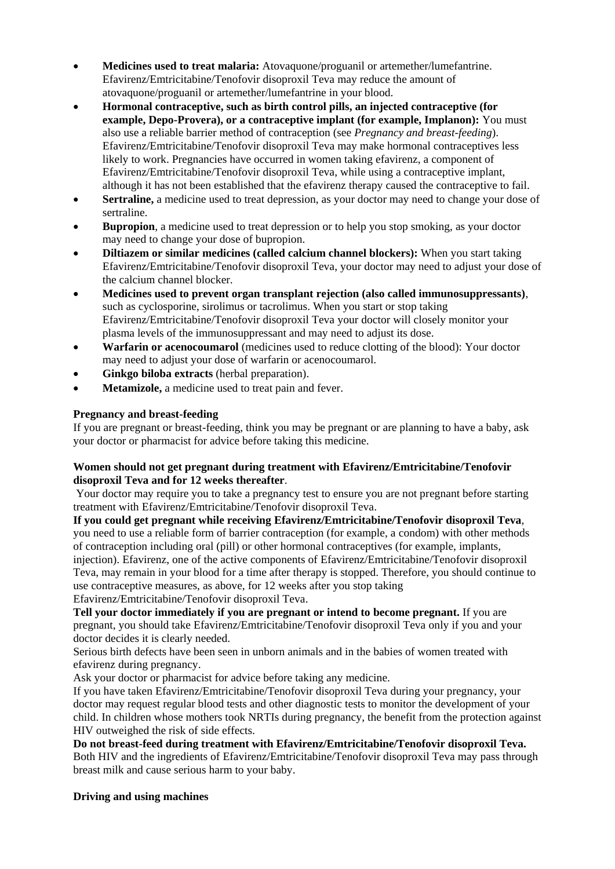- **Medicines used to treat malaria:** Atovaquone/proguanil or artemether/lumefantrine. Efavirenz/Emtricitabine/Tenofovir disoproxil Teva may reduce the amount of atovaquone/proguanil or artemether/lumefantrine in your blood.
- **Hormonal contraceptive, such as birth control pills, an injected contraceptive (for example, Depo-Provera), or a contraceptive implant (for example, Implanon):** You must also use a reliable barrier method of contraception (see *Pregnancy and breast-feeding*). Efavirenz/Emtricitabine/Tenofovir disoproxil Teva may make hormonal contraceptives less likely to work. Pregnancies have occurred in women taking efavirenz, a component of Efavirenz/Emtricitabine/Tenofovir disoproxil Teva, while using a contraceptive implant, although it has not been established that the efavirenz therapy caused the contraceptive to fail.
- **Sertraline,** a medicine used to treat depression, as your doctor may need to change your dose of sertraline.
- **Bupropion**, a medicine used to treat depression or to help you stop smoking, as your doctor may need to change your dose of bupropion.
- **Diltiazem or similar medicines (called calcium channel blockers):** When you start taking Efavirenz/Emtricitabine/Tenofovir disoproxil Teva, your doctor may need to adjust your dose of the calcium channel blocker.
- **Medicines used to prevent organ transplant rejection (also called immunosuppressants)**, such as cyclosporine, sirolimus or tacrolimus. When you start or stop taking Efavirenz/Emtricitabine/Tenofovir disoproxil Teva your doctor will closely monitor your plasma levels of the immunosuppressant and may need to adjust its dose.
- **Warfarin or acenocoumarol** (medicines used to reduce clotting of the blood): Your doctor may need to adjust your dose of warfarin or acenocoumarol.
- **Ginkgo biloba extracts** (herbal preparation).
- **Metamizole,** a medicine used to treat pain and fever.

# **Pregnancy and breast-feeding**

If you are pregnant or breast-feeding, think you may be pregnant or are planning to have a baby, ask your doctor or pharmacist for advice before taking this medicine.

# **Women should not get pregnant during treatment with Efavirenz/Emtricitabine/Tenofovir disoproxil Teva and for 12 weeks thereafter**.

Your doctor may require you to take a pregnancy test to ensure you are not pregnant before starting treatment with Efavirenz/Emtricitabine/Tenofovir disoproxil Teva.

**If you could get pregnant while receiving Efavirenz/Emtricitabine/Tenofovir disoproxil Teva**, you need to use a reliable form of barrier contraception (for example, a condom) with other methods of contraception including oral (pill) or other hormonal contraceptives (for example, implants, injection). Efavirenz, one of the active components of Efavirenz/Emtricitabine/Tenofovir disoproxil Teva, may remain in your blood for a time after therapy is stopped. Therefore, you should continue to use contraceptive measures, as above, for 12 weeks after you stop taking

Efavirenz/Emtricitabine/Tenofovir disoproxil Teva.

**Tell your doctor immediately if you are pregnant or intend to become pregnant.** If you are pregnant, you should take Efavirenz/Emtricitabine/Tenofovir disoproxil Teva only if you and your doctor decides it is clearly needed.

Serious birth defects have been seen in unborn animals and in the babies of women treated with efavirenz during pregnancy.

Ask your doctor or pharmacist for advice before taking any medicine.

If you have taken Efavirenz/Emtricitabine/Tenofovir disoproxil Teva during your pregnancy, your doctor may request regular blood tests and other diagnostic tests to monitor the development of your child. In children whose mothers took NRTIs during pregnancy, the benefit from the protection against HIV outweighed the risk of side effects.

**Do not breast-feed during treatment with Efavirenz/Emtricitabine/Tenofovir disoproxil Teva.**  Both HIV and the ingredients of Efavirenz/Emtricitabine/Tenofovir disoproxil Teva may pass through breast milk and cause serious harm to your baby.

# **Driving and using machines**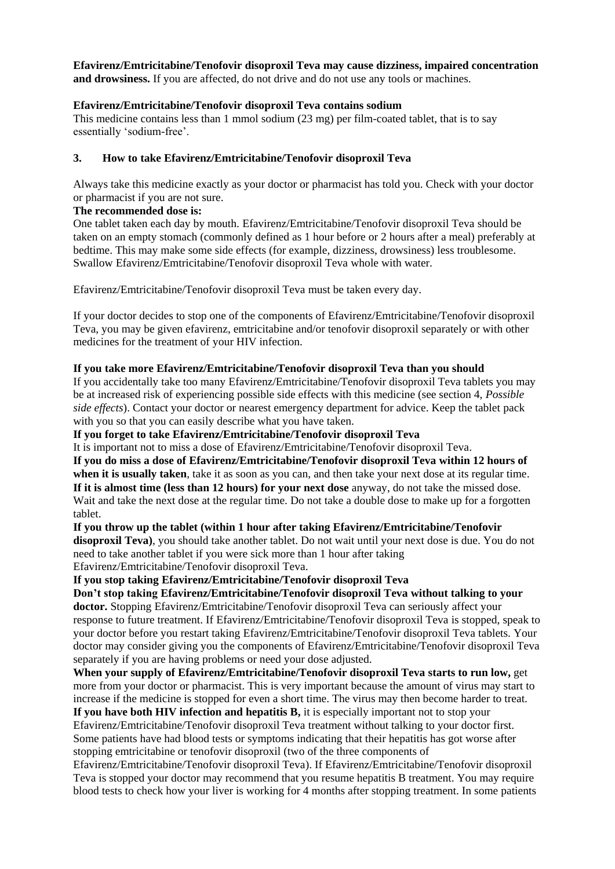# **Efavirenz/Emtricitabine/Tenofovir disoproxil Teva may cause dizziness, impaired concentration**

**and drowsiness.** If you are affected, do not drive and do not use any tools or machines.

### **Efavirenz/Emtricitabine/Tenofovir disoproxil Teva contains sodium**

This medicine contains less than 1 mmol sodium (23 mg) per film-coated tablet, that is to say essentially 'sodium-free'.

### **3. How to take Efavirenz/Emtricitabine/Tenofovir disoproxil Teva**

Always take this medicine exactly as your doctor or pharmacist has told you. Check with your doctor or pharmacist if you are not sure.

# **The recommended dose is:**

One tablet taken each day by mouth. Efavirenz/Emtricitabine/Tenofovir disoproxil Teva should be taken on an empty stomach (commonly defined as 1 hour before or 2 hours after a meal) preferably at bedtime. This may make some side effects (for example, dizziness, drowsiness) less troublesome. Swallow Efavirenz/Emtricitabine/Tenofovir disoproxil Teva whole with water.

Efavirenz/Emtricitabine/Tenofovir disoproxil Teva must be taken every day.

If your doctor decides to stop one of the components of Efavirenz/Emtricitabine/Tenofovir disoproxil Teva, you may be given efavirenz, emtricitabine and/or tenofovir disoproxil separately or with other medicines for the treatment of your HIV infection.

### **If you take more Efavirenz/Emtricitabine/Tenofovir disoproxil Teva than you should**

If you accidentally take too many Efavirenz/Emtricitabine/Tenofovir disoproxil Teva tablets you may be at increased risk of experiencing possible side effects with this medicine (see section 4, *Possible side effects*). Contact your doctor or nearest emergency department for advice. Keep the tablet pack with you so that you can easily describe what you have taken.

#### **If you forget to take Efavirenz/Emtricitabine/Tenofovir disoproxil Teva**

It is important not to miss a dose of Efavirenz/Emtricitabine/Tenofovir disoproxil Teva.

**If you do miss a dose of Efavirenz/Emtricitabine/Tenofovir disoproxil Teva within 12 hours of when it is usually taken**, take it as soon as you can, and then take your next dose at its regular time. **If it is almost time (less than 12 hours) for your next dose** anyway, do not take the missed dose. Wait and take the next dose at the regular time. Do not take a double dose to make up for a forgotten tablet.

**If you throw up the tablet (within 1 hour after taking Efavirenz/Emtricitabine/Tenofovir disoproxil Teva)**, you should take another tablet. Do not wait until your next dose is due. You do not need to take another tablet if you were sick more than 1 hour after taking Efavirenz/Emtricitabine/Tenofovir disoproxil Teva.

**If you stop taking Efavirenz/Emtricitabine/Tenofovir disoproxil Teva**

#### **Don't stop taking Efavirenz/Emtricitabine/Tenofovir disoproxil Teva without talking to your**

**doctor.** Stopping Efavirenz/Emtricitabine/Tenofovir disoproxil Teva can seriously affect your response to future treatment. If Efavirenz/Emtricitabine/Tenofovir disoproxil Teva is stopped, speak to your doctor before you restart taking Efavirenz/Emtricitabine/Tenofovir disoproxil Teva tablets. Your doctor may consider giving you the components of Efavirenz/Emtricitabine/Tenofovir disoproxil Teva separately if you are having problems or need your dose adjusted.

**When your supply of Efavirenz/Emtricitabine/Tenofovir disoproxil Teva starts to run low,** get more from your doctor or pharmacist. This is very important because the amount of virus may start to increase if the medicine is stopped for even a short time. The virus may then become harder to treat.

**If you have both HIV infection and hepatitis B,** it is especially important not to stop your Efavirenz/Emtricitabine/Tenofovir disoproxil Teva treatment without talking to your doctor first. Some patients have had blood tests or symptoms indicating that their hepatitis has got worse after stopping emtricitabine or tenofovir disoproxil (two of the three components of

Efavirenz/Emtricitabine/Tenofovir disoproxil Teva). If Efavirenz/Emtricitabine/Tenofovir disoproxil Teva is stopped your doctor may recommend that you resume hepatitis B treatment. You may require blood tests to check how your liver is working for 4 months after stopping treatment. In some patients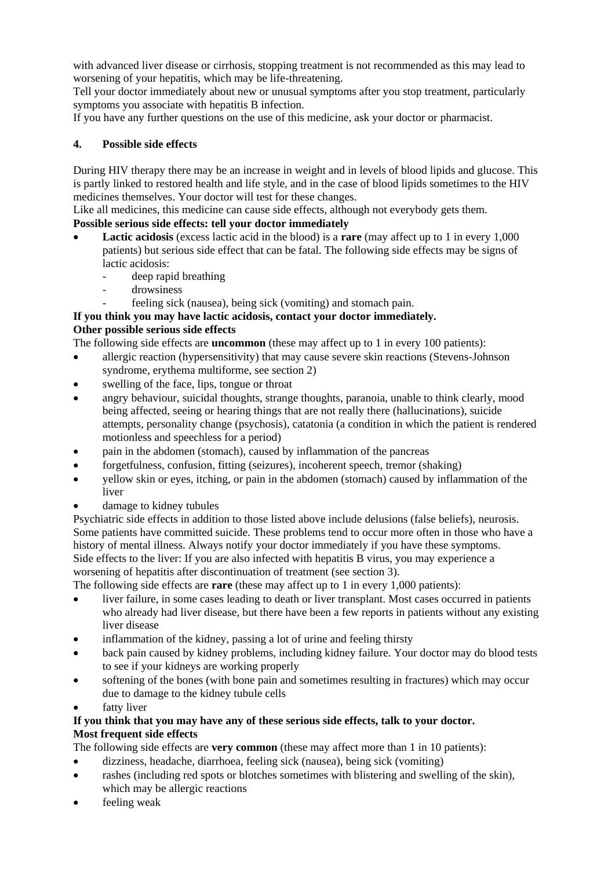with advanced liver disease or cirrhosis, stopping treatment is not recommended as this may lead to worsening of your hepatitis, which may be life-threatening.

Tell your doctor immediately about new or unusual symptoms after you stop treatment, particularly symptoms you associate with hepatitis B infection.

If you have any further questions on the use of this medicine, ask your doctor or pharmacist.

# **4. Possible side effects**

During HIV therapy there may be an increase in weight and in levels of blood lipids and glucose. This is partly linked to restored health and life style, and in the case of blood lipids sometimes to the HIV medicines themselves. Your doctor will test for these changes.

Like all medicines, this medicine can cause side effects, although not everybody gets them.

# **Possible serious side effects: tell your doctor immediately**

- **Lactic acidosis** (excess lactic acid in the blood) is a **rare** (may affect up to 1 in every 1,000 patients) but serious side effect that can be fatal. The following side effects may be signs of lactic acidosis:
	- deep rapid breathing
	- drowsiness
	- feeling sick (nausea), being sick (vomiting) and stomach pain.

# **If you think you may have lactic acidosis, contact your doctor immediately.**

# **Other possible serious side effects**

The following side effects are **uncommon** (these may affect up to 1 in every 100 patients):

- allergic reaction (hypersensitivity) that may cause severe skin reactions (Stevens-Johnson syndrome, erythema multiforme, see section 2)
- swelling of the face, lips, tongue or throat
- angry behaviour, suicidal thoughts, strange thoughts, paranoia, unable to think clearly, mood being affected, seeing or hearing things that are not really there (hallucinations), suicide attempts, personality change (psychosis), catatonia (a condition in which the patient is rendered motionless and speechless for a period)
- pain in the abdomen (stomach), caused by inflammation of the pancreas
- forgetfulness, confusion, fitting (seizures), incoherent speech, tremor (shaking)
- yellow skin or eyes, itching, or pain in the abdomen (stomach) caused by inflammation of the liver
- damage to kidney tubules

Psychiatric side effects in addition to those listed above include delusions (false beliefs), neurosis. Some patients have committed suicide. These problems tend to occur more often in those who have a history of mental illness. Always notify your doctor immediately if you have these symptoms. Side effects to the liver: If you are also infected with hepatitis B virus, you may experience a worsening of hepatitis after discontinuation of treatment (see section 3).

The following side effects are **rare** (these may affect up to 1 in every 1,000 patients):

- liver failure, in some cases leading to death or liver transplant. Most cases occurred in patients who already had liver disease, but there have been a few reports in patients without any existing liver disease
- inflammation of the kidney, passing a lot of urine and feeling thirsty
- back pain caused by kidney problems, including kidney failure. Your doctor may do blood tests to see if your kidneys are working properly
- softening of the bones (with bone pain and sometimes resulting in fractures) which may occur due to damage to the kidney tubule cells
- fatty liver

# **If you think that you may have any of these serious side effects, talk to your doctor. Most frequent side effects**

The following side effects are **very common** (these may affect more than 1 in 10 patients):

- dizziness, headache, diarrhoea, feeling sick (nausea), being sick (vomiting)
- rashes (including red spots or blotches sometimes with blistering and swelling of the skin), which may be allergic reactions
- feeling weak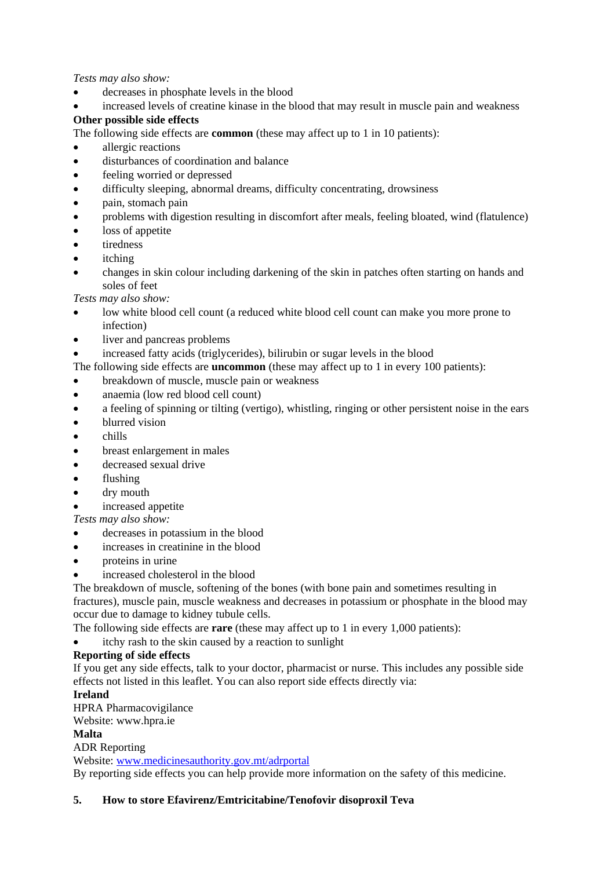### *Tests may also show:*

- decreases in phosphate levels in the blood
- increased levels of creatine kinase in the blood that may result in muscle pain and weakness

# **Other possible side effects**

The following side effects are **common** (these may affect up to 1 in 10 patients):

- allergic reactions
- disturbances of coordination and balance
- feeling worried or depressed
- difficulty sleeping, abnormal dreams, difficulty concentrating, drowsiness
- pain, stomach pain
- problems with digestion resulting in discomfort after meals, feeling bloated, wind (flatulence)
- loss of appetite
- tiredness
- itching
- changes in skin colour including darkening of the skin in patches often starting on hands and soles of feet

*Tests may also show:* 

- low white blood cell count (a reduced white blood cell count can make you more prone to infection)
- liver and pancreas problems
- increased fatty acids (triglycerides), bilirubin or sugar levels in the blood

The following side effects are **uncommon** (these may affect up to 1 in every 100 patients):

- breakdown of muscle, muscle pain or weakness
- anaemia (low red blood cell count)
- a feeling of spinning or tilting (vertigo), whistling, ringing or other persistent noise in the ears
- blurred vision
- chills
- breast enlargement in males
- decreased sexual drive
- flushing
- dry mouth
- increased appetite

*Tests may also show:* 

- decreases in potassium in the blood
- increases in creatinine in the blood
- proteins in urine
- increased cholesterol in the blood

The breakdown of muscle, softening of the bones (with bone pain and sometimes resulting in fractures), muscle pain, muscle weakness and decreases in potassium or phosphate in the blood may occur due to damage to kidney tubule cells.

The following side effects are **rare** (these may affect up to 1 in every 1,000 patients):

itchy rash to the skin caused by a reaction to sunlight

# **Reporting of side effects**

If you get any side effects, talk to your doctor, pharmacist or nurse. This includes any possible side effects not listed in this leaflet. You can also report side effects directly via:

# **Ireland**

HPRA Pharmacovigilance

Website: www.hpra.ie

# **Malta**

ADR Reporting

Website: [www.medicinesauthority.gov.mt/adrportal](http://www.medicinesauthority.gov.mt/adrportal)

By reporting side effects you can help provide more information on the safety of this medicine.

# **5. How to store Efavirenz/Emtricitabine/Tenofovir disoproxil Teva**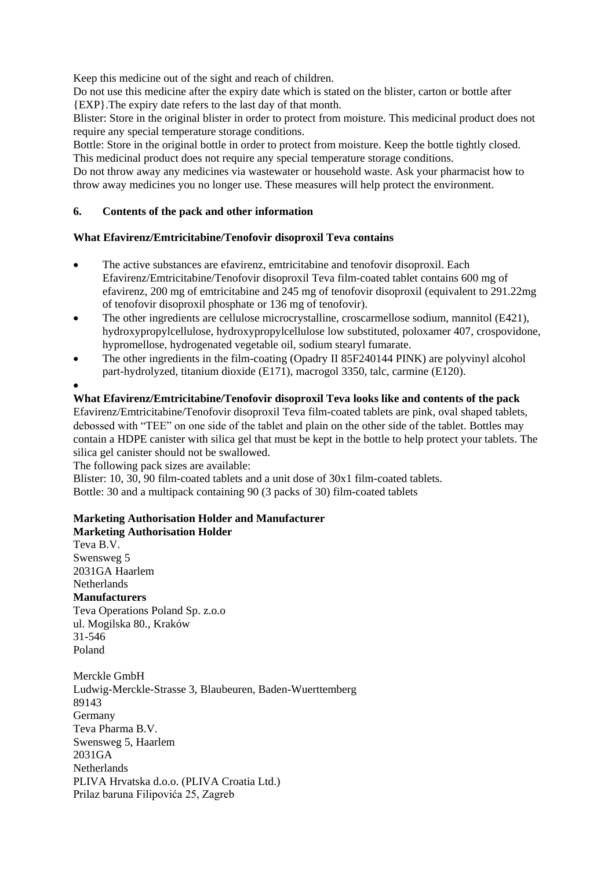Keep this medicine out of the sight and reach of children.

Do not use this medicine after the expiry date which is stated on the blister, carton or bottle after {EXP}.The expiry date refers to the last day of that month.

Blister: Store in the original blister in order to protect from moisture. This medicinal product does not require any special temperature storage conditions.

Bottle: Store in the original bottle in order to protect from moisture. Keep the bottle tightly closed. This medicinal product does not require any special temperature storage conditions.

Do not throw away any medicines via wastewater or household waste. Ask your pharmacist how to throw away medicines you no longer use. These measures will help protect the environment.

### **6. Contents of the pack and other information**

### **What Efavirenz/Emtricitabine/Tenofovir disoproxil Teva contains**

- The active substances are efavirenz, emtricitabine and tenofovir disoproxil. Each Efavirenz/Emtricitabine/Tenofovir disoproxil Teva film-coated tablet contains 600 mg of efavirenz, 200 mg of emtricitabine and 245 mg of tenofovir disoproxil (equivalent to 291.22mg of tenofovir disoproxil phosphate or 136 mg of tenofovir).
- The other ingredients are cellulose microcrystalline, croscarmellose sodium, mannitol (E421), hydroxypropylcellulose, hydroxypropylcellulose low substituted, poloxamer 407, crospovidone, hypromellose, hydrogenated vegetable oil, sodium stearyl fumarate.
- The other ingredients in the film-coating (Opadry II 85F240144 PINK) are polyvinyl alcohol part-hydrolyzed, titanium dioxide (E171), macrogol 3350, talc, carmine (E120).

 $\bullet$ 

**What Efavirenz/Emtricitabine/Tenofovir disoproxil Teva looks like and contents of the pack** Efavirenz/Emtricitabine/Tenofovir disoproxil Teva film-coated tablets are pink, oval shaped tablets, debossed with "TEE" on one side of the tablet and plain on the other side of the tablet. Bottles may contain a HDPE canister with silica gel that must be kept in the bottle to help protect your tablets. The silica gel canister should not be swallowed.

The following pack sizes are available:

Blister: 10, 30, 90 film-coated tablets and a unit dose of 30x1 film-coated tablets. Bottle: 30 and a multipack containing 90 (3 packs of 30) film-coated tablets

#### **Marketing Authorisation Holder and Manufacturer Marketing Authorisation Holder**

Teva B.V. Swensweg 5 2031GA Haarlem **Netherlands Manufacturers** Teva Operations Poland Sp. z.o.o ul. Mogilska 80., Kraków 31-546 Poland

Merckle GmbH Ludwig-Merckle-Strasse 3, Blaubeuren, Baden-Wuerttemberg 89143 Germany Teva Pharma B.V. Swensweg 5, Haarlem 2031GA **Netherlands** PLIVA Hrvatska d.o.o. (PLIVA Croatia Ltd.) Prilaz baruna Filipovića 25, Zagreb